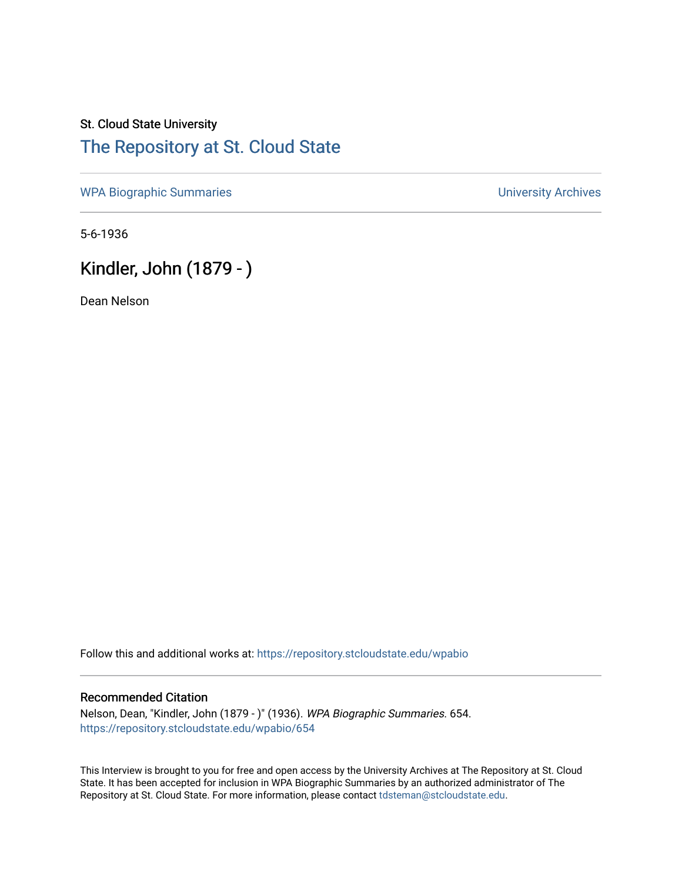## St. Cloud State University [The Repository at St. Cloud State](https://repository.stcloudstate.edu/)

[WPA Biographic Summaries](https://repository.stcloudstate.edu/wpabio) **WPA Biographic Summaries University Archives** 

5-6-1936

# Kindler, John (1879 - )

Dean Nelson

Follow this and additional works at: [https://repository.stcloudstate.edu/wpabio](https://repository.stcloudstate.edu/wpabio?utm_source=repository.stcloudstate.edu%2Fwpabio%2F654&utm_medium=PDF&utm_campaign=PDFCoverPages) 

#### Recommended Citation

Nelson, Dean, "Kindler, John (1879 - )" (1936). WPA Biographic Summaries. 654. [https://repository.stcloudstate.edu/wpabio/654](https://repository.stcloudstate.edu/wpabio/654?utm_source=repository.stcloudstate.edu%2Fwpabio%2F654&utm_medium=PDF&utm_campaign=PDFCoverPages) 

This Interview is brought to you for free and open access by the University Archives at The Repository at St. Cloud State. It has been accepted for inclusion in WPA Biographic Summaries by an authorized administrator of The Repository at St. Cloud State. For more information, please contact [tdsteman@stcloudstate.edu.](mailto:tdsteman@stcloudstate.edu)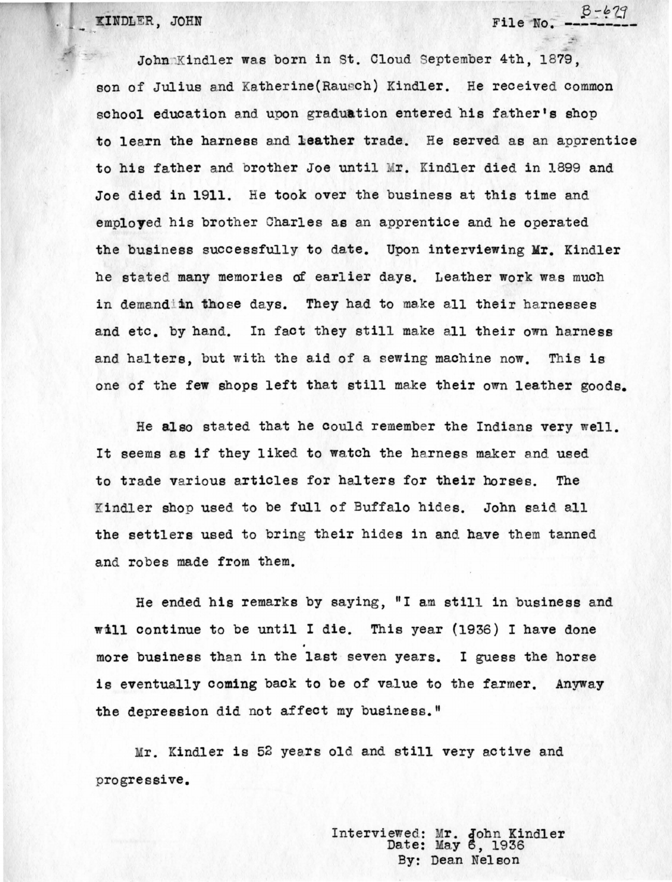KINDLER, JOHN

John Kindler was born in St. Cloud September 4th, 1879, son of Julius and Katherine(Raucch) Kindler. He received common school education and upon graduation entered his father's shop to learn the harness and **leather** trade. He served as an apprentice to his father and brother Joe until Mr. Kindler died in 1899 and Joe died in 1911. He took over the business at this time and employed his brother Charles as an apprentice and he operated the business successfully to date. Upon interviewing Mr. Kindler he stated many memories of earlier days. Leather work was much in demand in those days. They had to make all their harnesses and etc. by hand. In fact they still make a11 their own harness and halters, but with the aid of a sewing machine now. This is one of the few shops left that still make their own leather goods.

File **No.** ---------

He also stated that he could remember the Indians very well. It seems as if they liked to watch the harness maker and used to trade various articles for ha1ters for **their** horses. The indler shop used to be full of Buffalo hides. John said all the settlers used to bring their hides in and have them tanned and robes made from them.

He ended his remarks by saying, "I am still in business and will continue to be until I die. This year (1936) I have done more business than in the last seven years. I guess the horse is eventually coming back to be of value to the farmer. Anyway the depression did not affect my business."

Mr. Kindler is 52 ye ars old and still very active and progressive.

> Interviewed: Mr. John Kindler Date: May 6, 1936 By: Dean Nelson